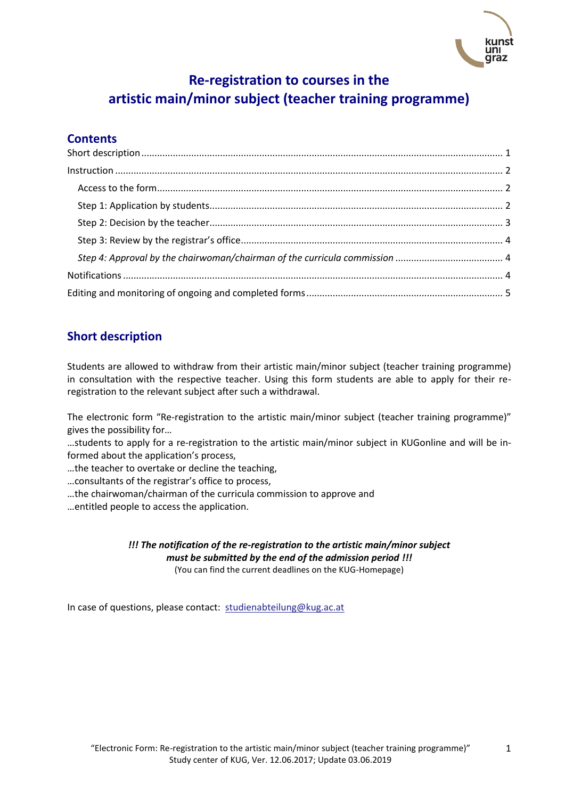

# **Re-registration to courses in the artistic main/minor subject (teacher training programme)**

## **Contents**

## <span id="page-0-0"></span>**Short description**

Students are allowed to withdraw from their artistic main/minor subject (teacher training programme) in consultation with the respective teacher. Using this form students are able to apply for their reregistration to the relevant subject after such a withdrawal.

The electronic form "Re-registration to the artistic main/minor subject (teacher training programme)" gives the possibility for…

…students to apply for a re-registration to the artistic main/minor subject in KUGonline and will be informed about the application's process,

…the teacher to overtake or decline the teaching,

…consultants of the registrar's office to process,

…the chairwoman/chairman of the curricula commission to approve and

…entitled people to access the application.

#### *!!! The notification of the re-registration to the artistic main/minor subject must be submitted by the end of the admission period !!!* (You can find the current deadlines on the KUG-Homepage)

In case of questions, please contact: [studienabteilung@kug.ac.at](mailto:studienabteilung@kug.ac.at)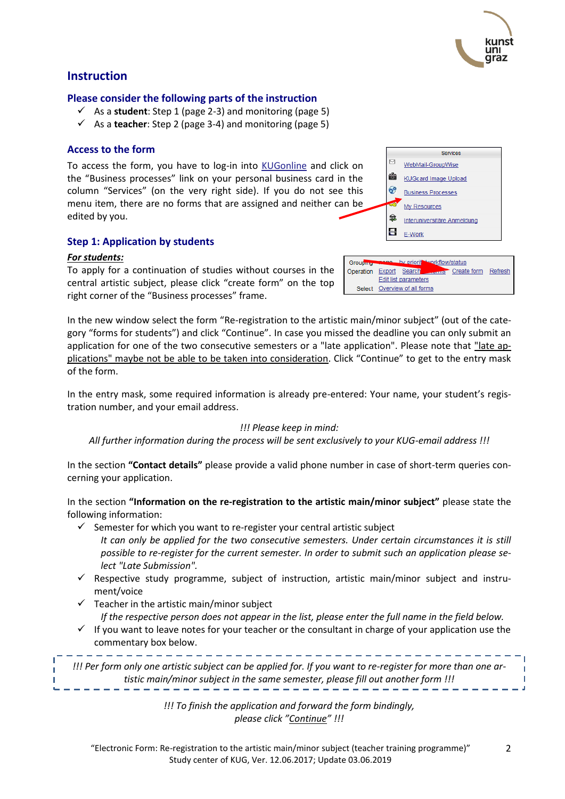

## <span id="page-1-0"></span>**Instruction**

#### **Please consider the following parts of the instruction**

- $\checkmark$  As a **student**: Step 1 (page 2-3) and monitoring (page 5)
- As a **teacher**: Step 2 (page 3-4) and monitoring (page 5)

## <span id="page-1-1"></span>**Access to the form**

To access the form, you have to log-in into [KUGonline](http://online.kug.ac.at/) and click on the "Business processes" link on your personal business card in the column "Services" (on the very right side). If you do not see this menu item, there are no forms that are assigned and neither can be edited by you.

## <span id="page-1-2"></span>**Step 1: Application by students**

#### *For students:*

To apply for a continuation of studies without courses in the central artistic subject, please click "create form" on the top right corner of the "Business processes" frame.

In the new window select the form "Re-registration to the artistic main/minor subject" (out of the category "forms for students") and click "Continue". In case you missed the deadline you can only submit an application for one of the two consecutive semesters or a "late application". Please note that "late applications" maybe not be able to be taken into consideration. Click "Continue" to get to the entry mask of the form.

Group

Edit list parameters Select Overview of all forms

In the entry mask, some required information is already pre-entered: Your name, your student's registration number, and your email address.

## *!!! Please keep in mind:*

*All further information during the process will be sent exclusively to your KUG-email address !!!*

In the section **"Contact details"** please provide a valid phone number in case of short-term queries concerning your application.

In the section **"Information on the re-registration to the artistic main/minor subject"** please state the following information:

- $\checkmark$  Semester for which you want to re-register your central artistic subject
	- *It can only be applied for the two consecutive semesters. Under certain circumstances it is still possible to re-register for the current semester. In order to submit such an application please select "Late Submission".*
- $\checkmark$  Respective study programme, subject of instruction, artistic main/minor subject and instrument/voice
- $\checkmark$  Teacher in the artistic main/minor subject *If the respective person does not appear in the list, please enter the full name in the field below.*
- $\checkmark$  If you want to leave notes for your teacher or the consultant in charge of your application use the commentary box below.

*!!! Per form only one artistic subject can be applied for. If you want to re-register for more than one artistic main/minor subject in the same semester, please fill out another form !!!*

> *!!! To finish the application and forward the form bindingly, please click "Continue" !!!*



T.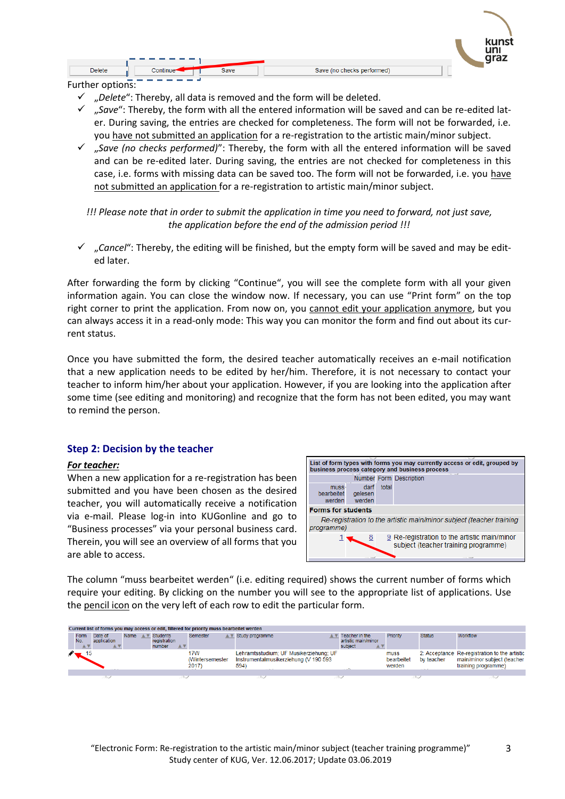|                | ----------   |                           | ----- |
|----------------|--------------|---------------------------|-------|
| <b>Delete</b>  | 2aug<br>əave | Save (no checks performed |       |
| -<br>$\cdot$ . | --------     |                           |       |

Further options:

- "*Delete*": Thereby, all data is removed and the form will be deleted.
- $\checkmark$  ... Save": Thereby, the form with all the entered information will be saved and can be re-edited later. During saving, the entries are checked for completeness. The form will not be forwarded, i.e. you have not submitted an application for a re-registration to the artistic main/minor subject.
- "*Save (no checks performed)*": Thereby, the form with all the entered information will be saved and can be re-edited later. During saving, the entries are not checked for completeness in this case, i.e. forms with missing data can be saved too. The form will not be forwarded, i.e. you have not submitted an application for a re-registration to artistic main/minor subject.

*!!! Please note that in order to submit the application in time you need to forward, not just save, the application before the end of the admission period !!!*

 $\checkmark$  *"*, Cancel": Thereby, the editing will be finished, but the empty form will be saved and may be edited later.

After forwarding the form by clicking "Continue", you will see the complete form with all your given information again. You can close the window now. If necessary, you can use "Print form" on the top right corner to print the application. From now on, you cannot edit your application anymore, but you can always access it in a read-only mode: This way you can monitor the form and find out about its current status.

Once you have submitted the form, the desired teacher automatically receives an e-mail notification that a new application needs to be edited by her/him. Therefore, it is not necessary to contact your teacher to inform him/her about your application. However, if you are looking into the application after some time (see editing and monitoring) and recognize that the form has not been edited, you may want to remind the person.

## <span id="page-2-0"></span>**Step 2: Decision by the teacher**

#### *For teacher:*

When a new application for a re-registration has been submitted and you have been chosen as the desired teacher, you will automatically receive a notification via e-mail. Please log-in into KUGonline and go to "Business processes" via your personal business card. Therein, you will see an overview of all forms that you are able to access.



The column "muss bearbeitet werden" (i.e. editing required) shows the current number of forms which require your editing. By clicking on the number you will see to the appropriate list of applications. Use the pencil icon on the very left of each row to edit the particular form.

| Current list of forms you may access or edit, filtered for priority muss bearbeitet werden |                        |      |           |                                           |     |                                  |                                                                                         |  |                                                       |                              |               |                                                                                                     |
|--------------------------------------------------------------------------------------------|------------------------|------|-----------|-------------------------------------------|-----|----------------------------------|-----------------------------------------------------------------------------------------|--|-------------------------------------------------------|------------------------------|---------------|-----------------------------------------------------------------------------------------------------|
| <b>Form</b><br>No.<br>$A$ $\triangledown$                                                  | Date of<br>application | Name | <b>AV</b> | <b>Students</b><br>registration<br>number | A V | Semester<br><b>AV</b>            | Study programme                                                                         |  | Teacher in the<br>artistic main/minor<br>subject<br>▲ | Priority                     | <b>Status</b> | Workflow                                                                                            |
|                                                                                            |                        |      |           |                                           |     | 17W<br>(Wintersemester)<br>2017) | Lehramtsstudium; UF Musikerziehung; UF<br>Instrumentalmusikerziehung (V 190 593<br>594) |  |                                                       | muss<br>bearbeitet<br>werden | by teacher    | 2: Acceptance Re-registration to the artistic<br>main/minor subject (teacher<br>training programme) |
|                                                                                            |                        |      |           |                                           |     |                                  |                                                                                         |  |                                                       |                              |               |                                                                                                     |
|                                                                                            |                        |      |           |                                           |     |                                  |                                                                                         |  |                                                       |                              |               |                                                                                                     |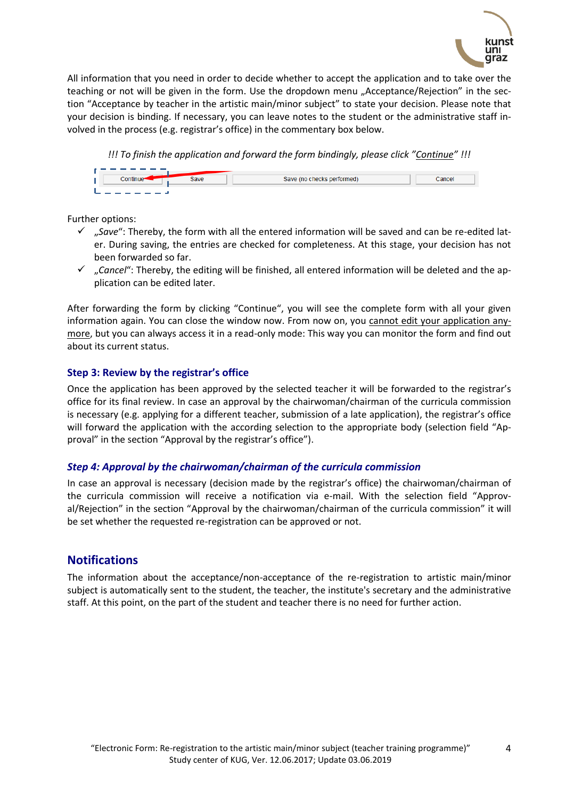

All information that you need in order to decide whether to accept the application and to take over the teaching or not will be given in the form. Use the dropdown menu "Acceptance/Rejection" in the section "Acceptance by teacher in the artistic main/minor subject" to state your decision. Please note that your decision is binding. If necessary, you can leave notes to the student or the administrative staff involved in the process (e.g. registrar's office) in the commentary box below.



Further options:

- $\checkmark$  "Save": Thereby, the form with all the entered information will be saved and can be re-edited later. During saving, the entries are checked for completeness. At this stage, your decision has not been forwarded so far.
- "*Cancel*": Thereby, the editing will be finished, all entered information will be deleted and the application can be edited later.

After forwarding the form by clicking "Continue", you will see the complete form with all your given information again. You can close the window now. From now on, you cannot edit your application anymore, but you can always access it in a read-only mode: This way you can monitor the form and find out about its current status.

## <span id="page-3-0"></span>**Step 3: Review by the registrar's office**

Once the application has been approved by the selected teacher it will be forwarded to the registrar's office for its final review. In case an approval by the chairwoman/chairman of the curricula commission is necessary (e.g. applying for a different teacher, submission of a late application), the registrar's office will forward the application with the according selection to the appropriate body (selection field "Approval" in the section "Approval by the registrar's office").

## <span id="page-3-1"></span>*Step 4: Approval by the chairwoman/chairman of the curricula commission*

In case an approval is necessary (decision made by the registrar's office) the chairwoman/chairman of the curricula commission will receive a notification via e-mail. With the selection field "Approval/Rejection" in the section "Approval by the chairwoman/chairman of the curricula commission" it will be set whether the requested re-registration can be approved or not.

## <span id="page-3-2"></span>**Notifications**

The information about the acceptance/non-acceptance of the re-registration to artistic main/minor subject is automatically sent to the student, the teacher, the institute's secretary and the administrative staff. At this point, on the part of the student and teacher there is no need for further action.